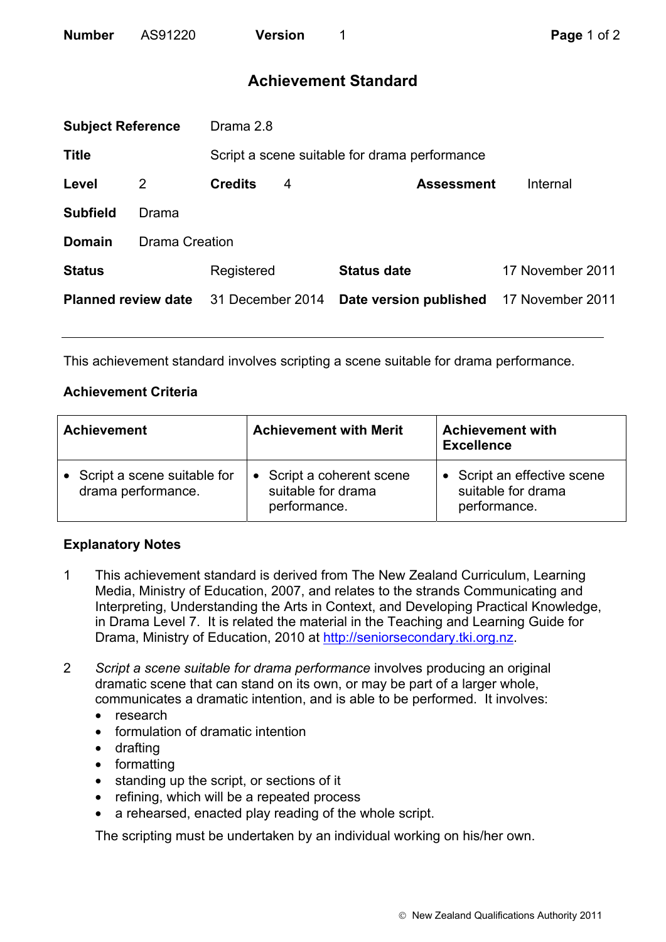## **Achievement Standard**

| <b>Subject Reference</b>   |                       | Drama 2.8                                     |   |                        |                  |  |
|----------------------------|-----------------------|-----------------------------------------------|---|------------------------|------------------|--|
| <b>Title</b>               |                       | Script a scene suitable for drama performance |   |                        |                  |  |
| Level                      | 2                     | <b>Credits</b>                                | 4 | <b>Assessment</b>      | Internal         |  |
| <b>Subfield</b>            | Drama                 |                                               |   |                        |                  |  |
| <b>Domain</b>              | <b>Drama Creation</b> |                                               |   |                        |                  |  |
| <b>Status</b>              |                       | Registered                                    |   | <b>Status date</b>     | 17 November 2011 |  |
| <b>Planned review date</b> |                       | 31 December 2014                              |   | Date version published | 17 November 2011 |  |
|                            |                       |                                               |   |                        |                  |  |

This achievement standard involves scripting a scene suitable for drama performance.

## **Achievement Criteria**

| <b>Achievement</b>                                  | <b>Achievement with Merit</b>                                   | <b>Achievement with</b><br><b>Excellence</b>                      |  |
|-----------------------------------------------------|-----------------------------------------------------------------|-------------------------------------------------------------------|--|
| • Script a scene suitable for<br>drama performance. | • Script a coherent scene<br>suitable for drama<br>performance. | • Script an effective scene<br>suitable for drama<br>performance. |  |

## **Explanatory Notes**

- 1 This achievement standard is derived from The New Zealand Curriculum, Learning Media, Ministry of Education, 2007, and relates to the strands Communicating and Interpreting, Understanding the Arts in Context, and Developing Practical Knowledge, in Drama Level 7. It is related the material in the Teaching and Learning Guide for Drama, Ministry of Education, 2010 at http://seniorsecondary.tki.org.nz.
- 2 *Script a scene suitable for drama performance* involves producing an original dramatic scene that can stand on its own, or may be part of a larger whole, communicates a dramatic intention, and is able to be performed. It involves:
	- research
	- formulation of dramatic intention
	- drafting
	- formatting
	- standing up the script, or sections of it
	- refining, which will be a repeated process
	- a rehearsed, enacted play reading of the whole script.

The scripting must be undertaken by an individual working on his/her own.